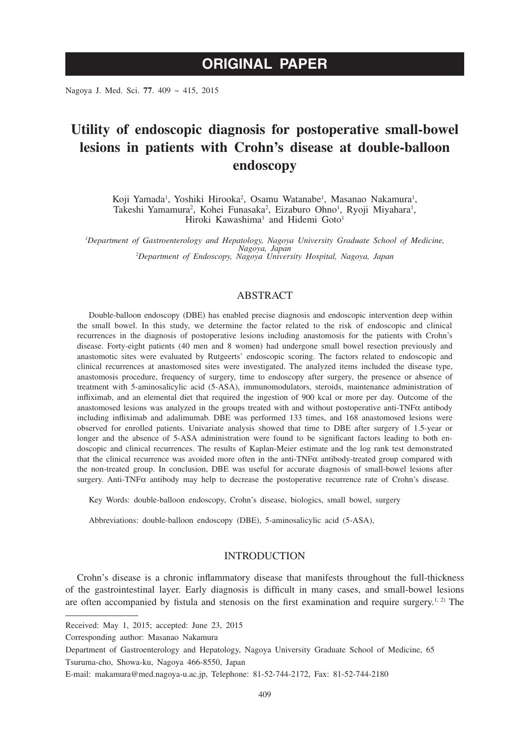# **ORIGINAL PAPER**

Nagoya J. Med. Sci. **77**. 409 ~ 415, 2015

# **Utility of endoscopic diagnosis for postoperative small-bowel lesions in patients with Crohn's disease at double-balloon endoscopy**

Koji Yamada<sup>1</sup>, Yoshiki Hirooka<sup>2</sup>, Osamu Watanabe<sup>1</sup>, Masanao Nakamura<sup>1</sup>, Takeshi Yamamura<sup>2</sup>, Kohei Funasaka<sup>2</sup>, Eizaburo Ohno<sup>1</sup>, Ryoji Miyahara<sup>1</sup>, Hiroki Kawashima<sup>1</sup> and Hidemi Goto<sup>1</sup>

*1 Department of Gastroenterology and Hepatology, Nagoya University Graduate School of Medicine, Nagoya, Japan <sup>2</sup> Department of Endoscopy, Nagoya University Hospital, Nagoya, Japan*

# **ABSTRACT**

Double-balloon endoscopy (DBE) has enabled precise diagnosis and endoscopic intervention deep within the small bowel. In this study, we determine the factor related to the risk of endoscopic and clinical recurrences in the diagnosis of postoperative lesions including anastomosis for the patients with Crohn's disease. Forty-eight patients (40 men and 8 women) had undergone small bowel resection previously and anastomotic sites were evaluated by Rutgeerts' endoscopic scoring. The factors related to endoscopic and clinical recurrences at anastomosed sites were investigated. The analyzed items included the disease type, anastomosis procedure, frequency of surgery, time to endoscopy after surgery, the presence or absence of treatment with 5-aminosalicylic acid (5-ASA), immunomodulators, steroids, maintenance administration of infliximab, and an elemental diet that required the ingestion of 900 kcal or more per day. Outcome of the anastomosed lesions was analyzed in the groups treated with and without postoperative anti-TNF $\alpha$  antibody including infliximab and adalimumab. DBE was performed 133 times, and 168 anastomosed lesions were observed for enrolled patients. Univariate analysis showed that time to DBE after surgery of 1.5-year or longer and the absence of 5-ASA administration were found to be significant factors leading to both endoscopic and clinical recurrences. The results of Kaplan-Meier estimate and the log rank test demonstrated that the clinical recurrence was avoided more often in the anti-TNF $\alpha$  antibody-treated group compared with the non-treated group. In conclusion, DBE was useful for accurate diagnosis of small-bowel lesions after surgery. Anti-TNF $\alpha$  antibody may help to decrease the postoperative recurrence rate of Crohn's disease.

Key Words: double-balloon endoscopy, Crohn's disease, biologics, small bowel, surgery

Abbreviations: double-balloon endoscopy (DBE), 5-aminosalicylic acid (5-ASA),

## **INTRODUCTION**

Crohn's disease is a chronic inflammatory disease that manifests throughout the full-thickness of the gastrointestinal layer. Early diagnosis is difficult in many cases, and small-bowel lesions are often accompanied by fistula and stenosis on the first examination and require surgery.<sup>1, 2)</sup> The

Received: May 1, 2015; accepted: June 23, 2015

Corresponding author: Masanao Nakamura

Department of Gastroenterology and Hepatology, Nagoya University Graduate School of Medicine, 65 Tsuruma-cho, Showa-ku, Nagoya 466-8550, Japan

E-mail: makamura@med.nagoya-u.ac.jp, Telephone: 81-52-744-2172, Fax: 81-52-744-2180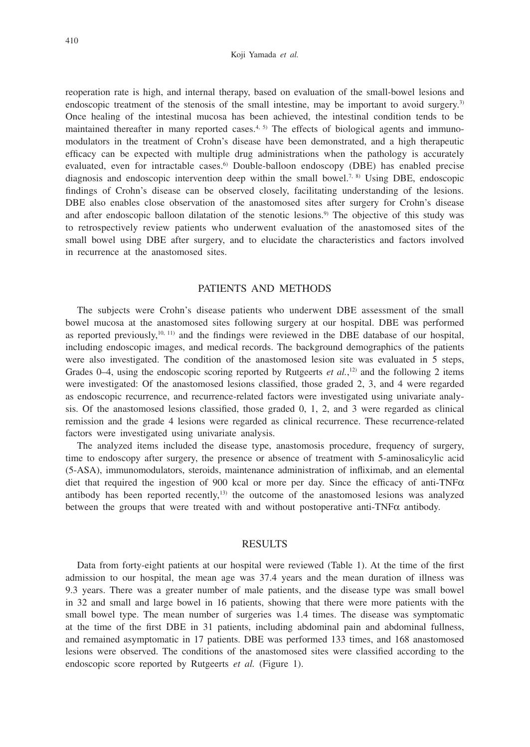#### Koji Yamada *et al.*

reoperation rate is high, and internal therapy, based on evaluation of the small-bowel lesions and endoscopic treatment of the stenosis of the small intestine, may be important to avoid surgery.<sup>3)</sup> Once healing of the intestinal mucosa has been achieved, the intestinal condition tends to be maintained thereafter in many reported cases.<sup>4, 5)</sup> The effects of biological agents and immunomodulators in the treatment of Crohn's disease have been demonstrated, and a high therapeutic efficacy can be expected with multiple drug administrations when the pathology is accurately evaluated, even for intractable cases.<sup>6</sup> Double-balloon endoscopy (DBE) has enabled precise diagnosis and endoscopic intervention deep within the small bowel.<sup>7, 8)</sup> Using DBE, endoscopic findings of Crohn's disease can be observed closely, facilitating understanding of the lesions. DBE also enables close observation of the anastomosed sites after surgery for Crohn's disease and after endoscopic balloon dilatation of the stenotic lesions.9) The objective of this study was to retrospectively review patients who underwent evaluation of the anastomosed sites of the small bowel using DBE after surgery, and to elucidate the characteristics and factors involved in recurrence at the anastomosed sites.

## PATIENTS AND METHODS

The subjects were Crohn's disease patients who underwent DBE assessment of the small bowel mucosa at the anastomosed sites following surgery at our hospital. DBE was performed as reported previously,<sup>10, 11)</sup> and the findings were reviewed in the DBE database of our hospital, including endoscopic images, and medical records. The background demographics of the patients were also investigated. The condition of the anastomosed lesion site was evaluated in 5 steps, Grades  $0-4$ , using the endoscopic scoring reported by Rutgeerts *et al.*,<sup>12)</sup> and the following 2 items were investigated: Of the anastomosed lesions classified, those graded 2, 3, and 4 were regarded as endoscopic recurrence, and recurrence-related factors were investigated using univariate analysis. Of the anastomosed lesions classified, those graded 0, 1, 2, and 3 were regarded as clinical remission and the grade 4 lesions were regarded as clinical recurrence. These recurrence-related factors were investigated using univariate analysis.

The analyzed items included the disease type, anastomosis procedure, frequency of surgery, time to endoscopy after surgery, the presence or absence of treatment with 5-aminosalicylic acid (5-ASA), immunomodulators, steroids, maintenance administration of infliximab, and an elemental diet that required the ingestion of 900 kcal or more per day. Since the efficacy of anti-TNF $\alpha$ antibody has been reported recently, $13$  the outcome of the anastomosed lesions was analyzed between the groups that were treated with and without postoperative anti-TNF $\alpha$  antibody.

### RESULTS

Data from forty-eight patients at our hospital were reviewed (Table 1). At the time of the first admission to our hospital, the mean age was 37.4 years and the mean duration of illness was 9.3 years. There was a greater number of male patients, and the disease type was small bowel in 32 and small and large bowel in 16 patients, showing that there were more patients with the small bowel type. The mean number of surgeries was 1.4 times. The disease was symptomatic at the time of the first DBE in 31 patients, including abdominal pain and abdominal fullness, and remained asymptomatic in 17 patients. DBE was performed 133 times, and 168 anastomosed lesions were observed. The conditions of the anastomosed sites were classified according to the endoscopic score reported by Rutgeerts *et al.* (Figure 1).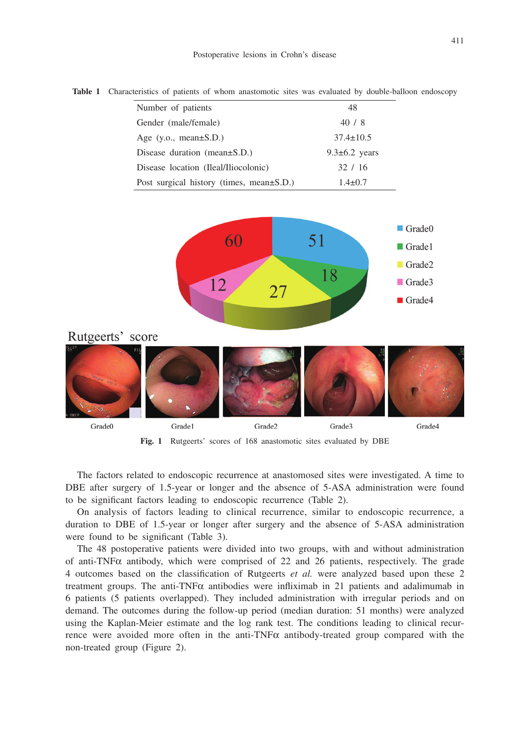Postoperative lesions in Crohn's disease

| <b>THOICE</b> The Characteristics of patients of whom anastomotic sites was examined by double banoon endosed |                    |
|---------------------------------------------------------------------------------------------------------------|--------------------|
| Number of patients                                                                                            | 48                 |
| Gender (male/female)                                                                                          | 40/8               |
| Age $(y.o., mean \pm S.D.)$                                                                                   | $37.4 \pm 10.5$    |
| Disease duration (mean $\pm$ S.D.)                                                                            | $9.3\pm 6.2$ years |
| Disease location (Ileal/Iliocolonic)                                                                          | 32/16              |
| Post surgical history (times, mean±S.D.)                                                                      | $1.4 \pm 0.7$      |

**Table 1** Characteristics of patients of whom anastomotic sites was evaluated by double-balloon endoscopy



**Fig. 1** Rutgeerts' scores of 168 anastomotic sites evaluated by DBE

The factors related to endoscopic recurrence at anastomosed sites were investigated. A time to DBE after surgery of 1.5-year or longer and the absence of 5-ASA administration were found to be significant factors leading to endoscopic recurrence (Table 2).

On analysis of factors leading to clinical recurrence, similar to endoscopic recurrence, a duration to DBE of 1.5-year or longer after surgery and the absence of 5-ASA administration were found to be significant (Table 3).

The 48 postoperative patients were divided into two groups, with and without administration of anti-TNF $\alpha$  antibody, which were comprised of 22 and 26 patients, respectively. The grade 4 outcomes based on the classification of Rutgeerts *et al.* were analyzed based upon these 2 treatment groups. The anti-TNF $\alpha$  antibodies were infliximab in 21 patients and adalimumab in 6 patients (5 patients overlapped). They included administration with irregular periods and on demand. The outcomes during the follow-up period (median duration: 51 months) were analyzed using the Kaplan-Meier estimate and the log rank test. The conditions leading to clinical recurrence were avoided more often in the anti-TNF $\alpha$  antibody-treated group compared with the non-treated group (Figure 2).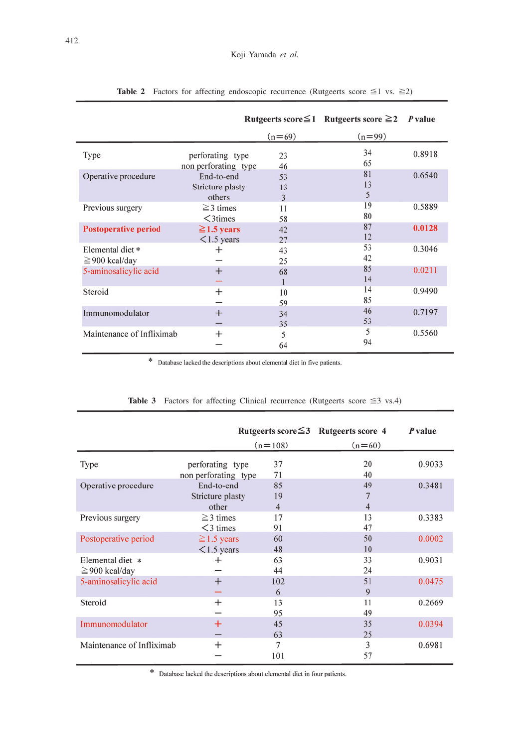|                             |                      |          | Rutgeerts score $\leq$ 1 Rutgeerts score $\geq$ 2 | P value |  |
|-----------------------------|----------------------|----------|---------------------------------------------------|---------|--|
|                             |                      | $(n=69)$ | $(n=99)$                                          |         |  |
| Type                        | perforating type     | 23       | 34                                                | 0.8918  |  |
|                             | non perforating type | 46       | 65                                                |         |  |
| Operative procedure         | End-to-end           | 53       | 81                                                | 0.6540  |  |
|                             | Stricture plasty     | 13       | 13                                                |         |  |
|                             | others               | 3        | 5                                                 |         |  |
| Previous surgery            | $\geq$ 3 times       | 11       | 19                                                | 0.5889  |  |
|                             | $\leq$ 3times        | 58       | 80                                                |         |  |
| <b>Postoperative period</b> | $\geq$ 1.5 years     | 42       | 87                                                | 0.0128  |  |
|                             | $\leq$ 1.5 years     | 27       | 12                                                |         |  |
| Elemental diet*             | +                    | 43       | 53                                                | 0.3046  |  |
| $\geq$ 900 kcal/day         |                      | 25       | 42                                                |         |  |
| 5-aminosalicylic acid       | $^{+}$               | 68       | 85                                                | 0.0211  |  |
|                             |                      |          | 14                                                |         |  |
| Steroid                     | $^{+}$               | 10       | 14                                                | 0.9490  |  |
|                             |                      | 59       | 85                                                |         |  |
| Immunomodulator             | $^{+}$               | 34       | 46                                                | 0.7197  |  |
|                             |                      | 35       | 53                                                |         |  |
| Maintenance of Infliximab   | $^{+}$               | 5        | 5                                                 | 0.5560  |  |
|                             |                      | 64       | 94                                                |         |  |

|  |  |  |  | <b>Table 2</b> Factors for affecting endoscopic recurrence (Rutgeerts score $\leq 1$ vs. $\geq 2$ ) |  |  |  |  |  |  |
|--|--|--|--|-----------------------------------------------------------------------------------------------------|--|--|--|--|--|--|
|--|--|--|--|-----------------------------------------------------------------------------------------------------|--|--|--|--|--|--|

 $\,^*$  Database lacked the descriptions about elemental diet in five patients.

|                                         | Rutgeerts score $\leq$ 3 Rutgeerts score 4 |                            |              | P value |
|-----------------------------------------|--------------------------------------------|----------------------------|--------------|---------|
|                                         |                                            | $(n=108)$                  | $(n=60)$     |         |
| Type                                    | perforating type<br>non perforating type   | 37<br>71                   | 20<br>40     | 0.9033  |
| Operative procedure                     | End-to-end<br>Stricture plasty<br>other    | 85<br>19<br>$\overline{4}$ | 49<br>7<br>4 | 0.3481  |
| Previous surgery                        | $\geq$ 3 times<br>$<$ 3 times              | 17<br>91                   | 13<br>47     | 0.3383  |
| Postoperative period                    | $\geq$ 1.5 years<br>$<$ 1.5 years          | 60<br>48                   | 50<br>10     | 0.0002  |
| Elemental diet *<br>$\geq$ 900 kcal/day |                                            | 63<br>44                   | 33<br>24     | 0.9031  |
| 5-aminosalicylic acid                   | $^{+}$                                     | 102<br>6                   | 51<br>9      | 0.0475  |
| Steroid                                 | $^{+}$                                     | 13<br>95                   | 11<br>49     | 0.2669  |
| Immunomodulator                         | $\pm$                                      | 45<br>63                   | 35<br>25     | 0.0394  |
| Maintenance of Infliximab               | $^{+}$                                     | 7<br>101                   | 3<br>57      | 0.6981  |

## **Table 3** Factors for affecting Clinical recurrence (Rutgeerts score  $\leq 3$  vs.4)

 $\,$   $\,$  Database lacked the descriptions about elemental diet in four patients.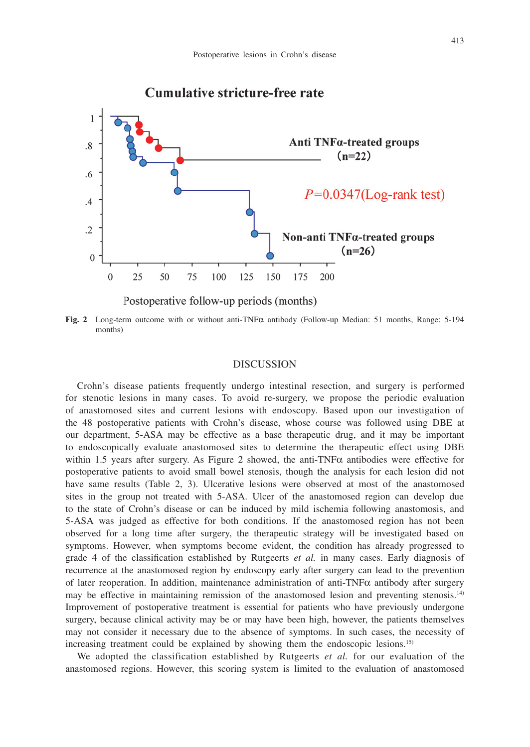

**Fig. 2** Long-term outcome with or without anti-TNFa antibody (Follow-up Median: 51 months, Range: 5-194 months)

### **DISCUSSION**

Crohn's disease patients frequently undergo intestinal resection, and surgery is performed for stenotic lesions in many cases. To avoid re-surgery, we propose the periodic evaluation of anastomosed sites and current lesions with endoscopy. Based upon our investigation of the 48 postoperative patients with Crohn's disease, whose course was followed using DBE at our department, 5-ASA may be effective as a base therapeutic drug, and it may be important to endoscopically evaluate anastomosed sites to determine the therapeutic effect using DBE within 1.5 years after surgery. As Figure 2 showed, the anti-TNF $\alpha$  antibodies were effective for postoperative patients to avoid small bowel stenosis, though the analysis for each lesion did not have same results (Table 2, 3). Ulcerative lesions were observed at most of the anastomosed sites in the group not treated with 5-ASA. Ulcer of the anastomosed region can develop due to the state of Crohn's disease or can be induced by mild ischemia following anastomosis, and 5-ASA was judged as effective for both conditions. If the anastomosed region has not been observed for a long time after surgery, the therapeutic strategy will be investigated based on symptoms. However, when symptoms become evident, the condition has already progressed to grade 4 of the classification established by Rutgeerts *et al.* in many cases. Early diagnosis of recurrence at the anastomosed region by endoscopy early after surgery can lead to the prevention of later reoperation. In addition, maintenance administration of anti-TNF $\alpha$  antibody after surgery may be effective in maintaining remission of the anastomosed lesion and preventing stenosis.<sup>14)</sup> Improvement of postoperative treatment is essential for patients who have previously undergone surgery, because clinical activity may be or may have been high, however, the patients themselves may not consider it necessary due to the absence of symptoms. In such cases, the necessity of increasing treatment could be explained by showing them the endoscopic lesions.<sup>15)</sup>

We adopted the classification established by Rutgeerts *et al.* for our evaluation of the anastomosed regions. However, this scoring system is limited to the evaluation of anastomosed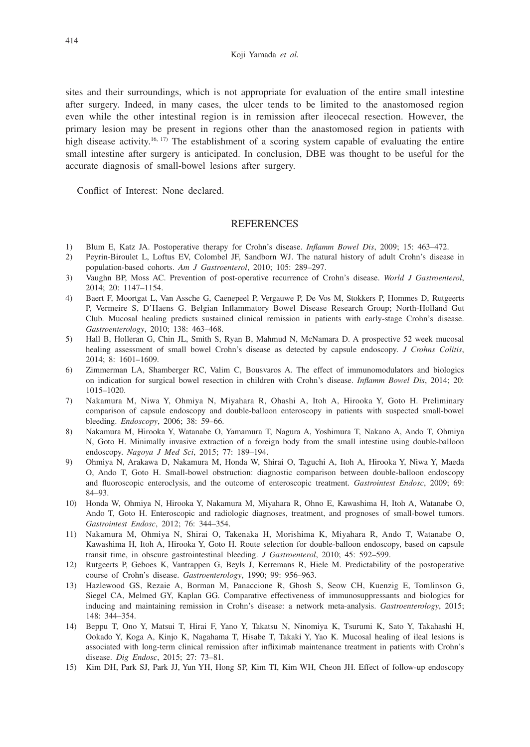sites and their surroundings, which is not appropriate for evaluation of the entire small intestine after surgery. Indeed, in many cases, the ulcer tends to be limited to the anastomosed region even while the other intestinal region is in remission after ileocecal resection. However, the primary lesion may be present in regions other than the anastomosed region in patients with high disease activity.<sup>16, 17)</sup> The establishment of a scoring system capable of evaluating the entire small intestine after surgery is anticipated. In conclusion, DBE was thought to be useful for the accurate diagnosis of small-bowel lesions after surgery.

Conflict of Interest: None declared.

# **REFERENCES**

- 1) Blum E, Katz JA. Postoperative therapy for Crohn's disease. *Inflamm Bowel Dis*, 2009; 15: 463–472.
- 2) Peyrin-Biroulet L, Loftus EV, Colombel JF, Sandborn WJ. The natural history of adult Crohn's disease in population-based cohorts. *Am J Gastroenterol*, 2010; 105: 289–297.
- 3) Vaughn BP, Moss AC. Prevention of post-operative recurrence of Crohn's disease. *World J Gastroenterol*, 2014; 20: 1147–1154.
- 4) Baert F, Moortgat L, Van Assche G, Caenepeel P, Vergauwe P, De Vos M, Stokkers P, Hommes D, Rutgeerts P, Vermeire S, D'Haens G. Belgian Inflammatory Bowel Disease Research Group; North-Holland Gut Club. Mucosal healing predicts sustained clinical remission in patients with early-stage Crohn's disease. *Gastroenterology*, 2010; 138: 463–468.
- 5) Hall B, Holleran G, Chin JL, Smith S, Ryan B, Mahmud N, McNamara D. A prospective 52 week mucosal healing assessment of small bowel Crohn's disease as detected by capsule endoscopy. *J Crohns Colitis*, 2014; 8: 1601–1609.
- 6) Zimmerman LA, Shamberger RC, Valim C, Bousvaros A. The effect of immunomodulators and biologics on indication for surgical bowel resection in children with Crohn's disease. *Inflamm Bowel Dis*, 2014; 20: 1015–1020.
- 7) Nakamura M, Niwa Y, Ohmiya N, Miyahara R, Ohashi A, Itoh A, Hirooka Y, Goto H. Preliminary comparison of capsule endoscopy and double-balloon enteroscopy in patients with suspected small-bowel bleeding. *Endoscopy*, 2006; 38: 59–66.
- 8) Nakamura M, Hirooka Y, Watanabe O, Yamamura T, Nagura A, Yoshimura T, Nakano A, Ando T, Ohmiya N, Goto H. Minimally invasive extraction of a foreign body from the small intestine using double-balloon endoscopy. *Nagoya J Med Sci*, 2015; 77: 189–194.
- 9) Ohmiya N, Arakawa D, Nakamura M, Honda W, Shirai O, Taguchi A, Itoh A, Hirooka Y, Niwa Y, Maeda O, Ando T, Goto H. Small-bowel obstruction: diagnostic comparison between double-balloon endoscopy and fluoroscopic enteroclysis, and the outcome of enteroscopic treatment. *Gastrointest Endosc*, 2009; 69: 84–93.
- 10) Honda W, Ohmiya N, Hirooka Y, Nakamura M, Miyahara R, Ohno E, Kawashima H, Itoh A, Watanabe O, Ando T, Goto H. Enteroscopic and radiologic diagnoses, treatment, and prognoses of small-bowel tumors. *Gastrointest Endosc*, 2012; 76: 344–354.
- 11) Nakamura M, Ohmiya N, Shirai O, Takenaka H, Morishima K, Miyahara R, Ando T, Watanabe O, Kawashima H, Itoh A, Hirooka Y, Goto H. Route selection for double-balloon endoscopy, based on capsule transit time, in obscure gastrointestinal bleeding. *J Gastroenterol*, 2010; 45: 592–599.
- 12) Rutgeerts P, Geboes K, Vantrappen G, Beyls J, Kerremans R, Hiele M. Predictability of the postoperative course of Crohn's disease. *Gastroenterology*, 1990; 99: 956–963.
- 13) Hazlewood GS, Rezaie A, Borman M, Panaccione R, Ghosh S, Seow CH, Kuenzig E, Tomlinson G, Siegel CA, Melmed GY, Kaplan GG. Comparative effectiveness of immunosuppressants and biologics for inducing and maintaining remission in Crohn's disease: a network meta-analysis. *Gastroenterology*, 2015; 148: 344–354.
- 14) Beppu T, Ono Y, Matsui T, Hirai F, Yano Y, Takatsu N, Ninomiya K, Tsurumi K, Sato Y, Takahashi H, Ookado Y, Koga A, Kinjo K, Nagahama T, Hisabe T, Takaki Y, Yao K. Mucosal healing of ileal lesions is associated with long-term clinical remission after infliximab maintenance treatment in patients with Crohn's disease. *Dig Endosc*, 2015; 27: 73–81.
- 15) Kim DH, Park SJ, Park JJ, Yun YH, Hong SP, Kim TI, Kim WH, Cheon JH. Effect of follow-up endoscopy